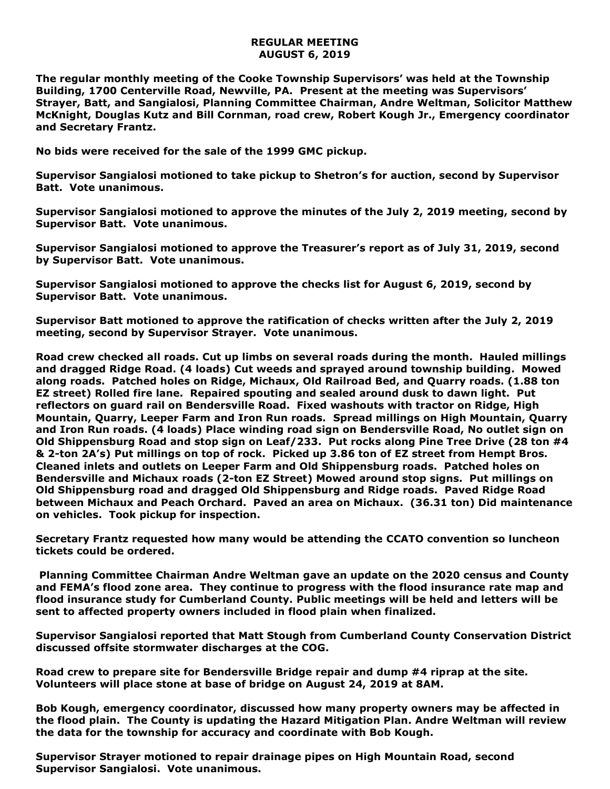## **REGULAR MEETING AUGUST 6, 2019**

**The regular monthly meeting of the Cooke Township Supervisors' was held at the Township Building, 1700 Centerville Road, Newville, PA. Present at the meeting was Supervisors' Strayer, Batt, and Sangialosi, Planning Committee Chairman, Andre Weltman, Solicitor Matthew McKnight, Douglas Kutz and Bill Cornman, road crew, Robert Kough Jr., Emergency coordinator and Secretary Frantz.** 

**No bids were received for the sale of the 1999 GMC pickup.**

**Supervisor Sangialosi motioned to take pickup to Shetron's for auction, second by Supervisor Batt. Vote unanimous.**

**Supervisor Sangialosi motioned to approve the minutes of the July 2, 2019 meeting, second by Supervisor Batt. Vote unanimous.** 

**Supervisor Sangialosi motioned to approve the Treasurer's report as of July 31, 2019, second by Supervisor Batt. Vote unanimous.**

**Supervisor Sangialosi motioned to approve the checks list for August 6, 2019, second by Supervisor Batt. Vote unanimous.**

**Supervisor Batt motioned to approve the ratification of checks written after the July 2, 2019 meeting, second by Supervisor Strayer. Vote unanimous.**

**Road crew checked all roads. Cut up limbs on several roads during the month. Hauled millings and dragged Ridge Road. (4 loads) Cut weeds and sprayed around township building. Mowed along roads. Patched holes on Ridge, Michaux, Old Railroad Bed, and Quarry roads. (1.88 ton EZ street) Rolled fire lane. Repaired spouting and sealed around dusk to dawn light. Put reflectors on guard rail on Bendersville Road. Fixed washouts with tractor on Ridge, High Mountain, Quarry, Leeper Farm and Iron Run roads. Spread millings on High Mountain, Quarry and Iron Run roads. (4 loads) Place winding road sign on Bendersville Road, No outlet sign on Old Shippensburg Road and stop sign on Leaf/233. Put rocks along Pine Tree Drive (28 ton #4 & 2-ton 2A's) Put millings on top of rock. Picked up 3.86 ton of EZ street from Hempt Bros. Cleaned inlets and outlets on Leeper Farm and Old Shippensburg roads. Patched holes on Bendersville and Michaux roads (2-ton EZ Street) Mowed around stop signs. Put millings on Old Shippensburg road and dragged Old Shippensburg and Ridge roads. Paved Ridge Road between Michaux and Peach Orchard. Paved an area on Michaux. (36.31 ton) Did maintenance on vehicles. Took pickup for inspection.**

**Secretary Frantz requested how many would be attending the CCATO convention so luncheon tickets could be ordered.**

**Planning Committee Chairman Andre Weltman gave an update on the 2020 census and County and FEMA's flood zone area. They continue to progress with the flood insurance rate map and flood insurance study for Cumberland County. Public meetings will be held and letters will be sent to affected property owners included in flood plain when finalized.**

**Supervisor Sangialosi reported that Matt Stough from Cumberland County Conservation District discussed offsite stormwater discharges at the COG.**

**Road crew to prepare site for Bendersville Bridge repair and dump #4 riprap at the site. Volunteers will place stone at base of bridge on August 24, 2019 at 8AM.**

**Bob Kough, emergency coordinator, discussed how many property owners may be affected in the flood plain. The County is updating the Hazard Mitigation Plan. Andre Weltman will review the data for the township for accuracy and coordinate with Bob Kough.**

**Supervisor Strayer motioned to repair drainage pipes on High Mountain Road, second Supervisor Sangialosi. Vote unanimous.**